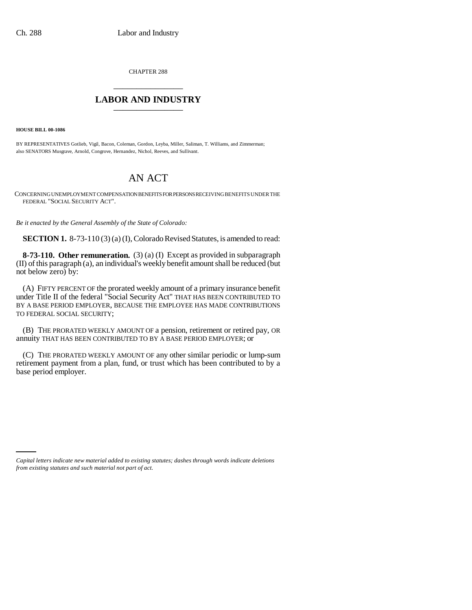CHAPTER 288 \_\_\_\_\_\_\_\_\_\_\_\_\_\_\_

## **LABOR AND INDUSTRY** \_\_\_\_\_\_\_\_\_\_\_\_\_\_\_

**HOUSE BILL 00-1086** 

BY REPRESENTATIVES Gotlieb, Vigil, Bacon, Coleman, Gordon, Leyba, Miller, Saliman, T. Williams, and Zimmerman; also SENATORS Musgrave, Arnold, Congrove, Hernandez, Nichol, Reeves, and Sullivant.

## AN ACT

CONCERNING UNEMPLOYMENT COMPENSATION BENEFITS FOR PERSONS RECEIVING BENEFITS UNDER THE FEDERAL "SOCIAL SECURITY ACT".

*Be it enacted by the General Assembly of the State of Colorado:*

**SECTION 1.** 8-73-110(3)(a)(I), Colorado Revised Statutes, is amended to read:

**8-73-110. Other remuneration.** (3) (a) (I) Except as provided in subparagraph (II) of this paragraph (a), an individual's weekly benefit amount shall be reduced (but not below zero) by:

(A) FIFTY PERCENT OF the prorated weekly amount of a primary insurance benefit under Title II of the federal "Social Security Act" THAT HAS BEEN CONTRIBUTED TO BY A BASE PERIOD EMPLOYER, BECAUSE THE EMPLOYEE HAS MADE CONTRIBUTIONS TO FEDERAL SOCIAL SECURITY;

(B) THE PRORATED WEEKLY AMOUNT OF a pension, retirement or retired pay, OR annuity THAT HAS BEEN CONTRIBUTED TO BY A BASE PERIOD EMPLOYER; or

(C) THE PRORATED WEEKLY AMOUNT OF any other similar periodic or lump-sum retirement payment from a plan, fund, or trust which has been contributed to by a base period employer.

*Capital letters indicate new material added to existing statutes; dashes through words indicate deletions from existing statutes and such material not part of act.*